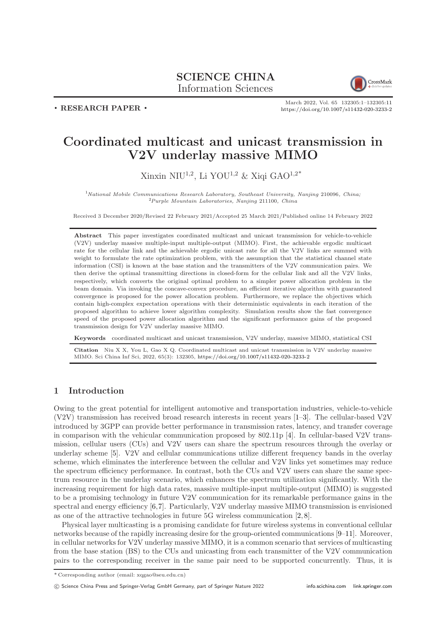# SCIENCE CHINA Information Sciences



. RESEARCH PAPER .

March 2022, Vol. 65 132305:1–132305[:11](#page-10-0) <https://doi.org/10.1007/s11432-020-3233-2>

# Coordinated multicast and unicast transmission in V2V underlay massive MIMO

Xinxin NIU<sup>1,2</sup>, Li YOU<sup>1,2</sup> & Xiqi GAO<sup>1,2\*</sup>

<sup>1</sup>National Mobile Communications Research Laboratory, Southeast University, Nanjing 210096, China;  ${}^{2}P$ urple Mountain Laboratories, Nanjing 211100, China

Received 3 December 2020/Revised 22 February 2021/Accepted 25 March 2021/Published online 14 February 2022

Abstract This paper investigates coordinated multicast and unicast transmission for vehicle-to-vehicle (V2V) underlay massive multiple-input multiple-output (MIMO). First, the achievable ergodic multicast rate for the cellular link and the achievable ergodic unicast rate for all the V2V links are summed with weight to formulate the rate optimization problem, with the assumption that the statistical channel state information (CSI) is known at the base station and the transmitters of the V2V communication pairs. We then derive the optimal transmitting directions in closed-form for the cellular link and all the V2V links, respectively, which converts the original optimal problem to a simpler power allocation problem in the beam domain. Via invoking the concave-convex procedure, an efficient iterative algorithm with guaranteed convergence is proposed for the power allocation problem. Furthermore, we replace the objectives which contain high-complex expectation operations with their deterministic equivalents in each iteration of the proposed algorithm to achieve lower algorithm complexity. Simulation results show the fast convergence speed of the proposed power allocation algorithm and the significant performance gains of the proposed transmission design for V2V underlay massive MIMO.

Keywords coordinated multicast and unicast transmission, V2V underlay, massive MIMO, statistical CSI

Citation Niu X X, You L, Gao X Q. Coordinated multicast and unicast transmission in V2V underlay massive MIMO. Sci China Inf Sci, 2022, 65(3): 132305, <https://doi.org/10.1007/s11432-020-3233-2>

# 1 Introduction

Owing to the great potential for intelligent automotive and transportation industries, vehicle-to-vehicle (V2V) transmission has received broad research interests in recent years [\[1](#page-9-0)[–3\]](#page-9-1). The cellular-based V2V introduced by 3GPP can provide better performance in transmission rates, latency, and transfer coverage in comparison with the vehicular communication proposed by 802.11p [\[4\]](#page-9-2). In cellular-based V2V transmission, cellular users (CUs) and V2V users can share the spectrum resources through the overlay or underlay scheme [\[5\]](#page-9-3). V2V and cellular communications utilize different frequency bands in the overlay scheme, which eliminates the interference between the cellular and V2V links yet sometimes may reduce the spectrum efficiency performance. In contrast, both the CUs and V2V users can share the same spectrum resource in the underlay scenario, which enhances the spectrum utilization significantly. With the increasing requirement for high data rates, massive multiple-input multiple-output (MIMO) is suggested to be a promising technology in future V2V communication for its remarkable performance gains in the spectral and energy efficiency [\[6,](#page-9-4)[7\]](#page-9-5). Particularly, V2V underlay massive MIMO transmission is envisioned as one of the attractive technologies in future 5G wireless communication [\[2,](#page-9-6) [8\]](#page-9-7).

Physical layer multicasting is a promising candidate for future wireless systems in conventional cellular networks because of the rapidly increasing desire for the group-oriented communications [\[9–](#page-9-8)[11\]](#page-9-9). Moreover, in cellular networks for V2V underlay massive MIMO, it is a common scenario that services of multicasting from the base station (BS) to the CUs and unicasting from each transmitter of the V2V communication pairs to the corresponding receiver in the same pair need to be supported concurrently. Thus, it is

c Science China Press and Springer-Verlag GmbH Germany, part of Springer Nature 2022 <info.scichina.com><link.springer.com>

<sup>\*</sup> Corresponding author (email: xqgao@seu.edu.cn)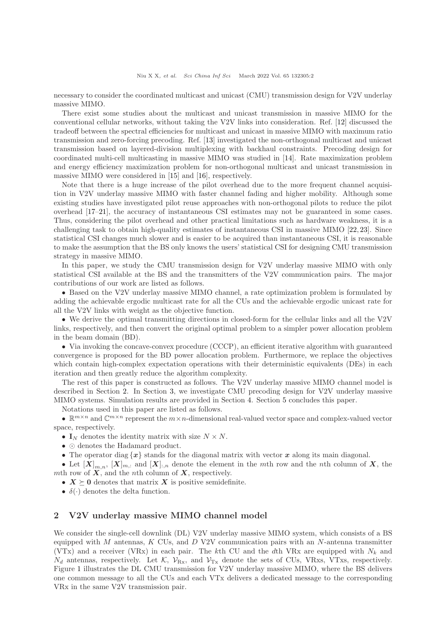necessary to consider the coordinated multicast and unicast (CMU) transmission design for V2V underlay massive MIMO.

There exist some studies about the multicast and unicast transmission in massive MIMO for the conventional cellular networks, without taking the V2V links into consideration. Ref. [\[12\]](#page-9-10) discussed the tradeoff between the spectral efficiencies for multicast and unicast in massive MIMO with maximum ratio transmission and zero-forcing precoding. Ref. [\[13\]](#page-9-11) investigated the non-orthogonal multicast and unicast transmission based on layered-division multiplexing with backhaul constraints. Precoding design for coordinated multi-cell multicasting in massive MIMO was studied in [\[14\]](#page-9-12). Rate maximization problem and energy efficiency maximization problem for non-orthogonal multicast and unicast transmission in massive MIMO were considered in [\[15\]](#page-9-13) and [\[16\]](#page-9-14), respectively.

Note that there is a huge increase of the pilot overhead due to the more frequent channel acquisition in V2V underlay massive MIMO with faster channel fading and higher mobility. Although some existing studies have investigated pilot reuse approaches with non-orthogonal pilots to reduce the pilot overhead [\[17](#page-9-15)[–21\]](#page-10-1), the accuracy of instantaneous CSI estimates may not be guaranteed in some cases. Thus, considering the pilot overhead and other practical limitations such as hardware weakness, it is a challenging task to obtain high-quality estimates of instantaneous CSI in massive MIMO [\[22,](#page-10-2) [23\]](#page-10-3). Since statistical CSI changes much slower and is easier to be acquired than instantaneous CSI, it is reasonable to make the assumption that the BS only knows the users' statistical CSI for designing CMU transmission strategy in massive MIMO.

In this paper, we study the CMU transmission design for V2V underlay massive MIMO with only statistical CSI available at the BS and the transmitters of the V2V communication pairs. The major contributions of our work are listed as follows.

• Based on the V2V underlay massive MIMO channel, a rate optimization problem is formulated by adding the achievable ergodic multicast rate for all the CUs and the achievable ergodic unicast rate for all the V2V links with weight as the objective function.

• We derive the optimal transmitting directions in closed-form for the cellular links and all the V2V links, respectively, and then convert the original optimal problem to a simpler power allocation problem in the beam domain (BD).

• Via invoking the concave-convex procedure (CCCP), an efficient iterative algorithm with guaranteed convergence is proposed for the BD power allocation problem. Furthermore, we replace the objectives which contain high-complex expectation operations with their deterministic equivalents (DEs) in each iteration and then greatly reduce the algorithm complexity.

The rest of this paper is constructed as follows. The V2V underlay massive MIMO channel model is described in Section [2.](#page-1-0) In Section [3,](#page-3-0) we investigate CMU precoding design for V2V underlay massive MIMO systems. Simulation results are provided in Section [4.](#page-7-0) Section [5](#page-9-16) concludes this paper.

Notations used in this paper are listed as follows.

•  $\mathbb{R}^{m \times n}$  and  $\mathbb{C}^{m \times n}$  represent the  $m \times n$ -dimensional real-valued vector space and complex-valued vector space, respectively.

•  $I_N$  denotes the identity matrix with size  $N \times N$ .

- ⊙ denotes the Hadamard product.
- The operator diag  $\{x\}$  stands for the diagonal matrix with vector x along its main diagonal.

• Let  $[X]_{m,n}$ ,  $[X]_{m,:}$  and  $[X]_{:,n}$  denote the element in the mth row and the nth column of X, the mth row of  $\overline{X}$ , and the *n*th column of  $\overline{X}$ , respectively.

•  $X \succeq 0$  denotes that matrix X is positive semidefinite.

•  $\delta(\cdot)$  denotes the delta function.

## <span id="page-1-0"></span>2 V2V underlay massive MIMO channel model

We consider the single-cell downlink (DL) V2V underlay massive MIMO system, which consists of a BS equipped with  $M$  antennas,  $K$  CUs, and  $D$  V2V communication pairs with an  $N$ -antenna transmitter (VTx) and a receiver (VRx) in each pair. The kth CU and the dth VRx are equipped with  $N_k$  and  $N_d$  antennas, respectively. Let K,  $\mathcal{V}_{\rm Rx}$ , and  $\mathcal{V}_{\rm Tx}$  denote the sets of CUs, VRxs, VTxs, respectively. Figure [1](#page-2-0) illustrates the DL CMU transmission for V2V underlay massive MIMO, where the BS delivers one common message to all the CUs and each VTx delivers a dedicated message to the corresponding VRx in the same V2V transmission pair.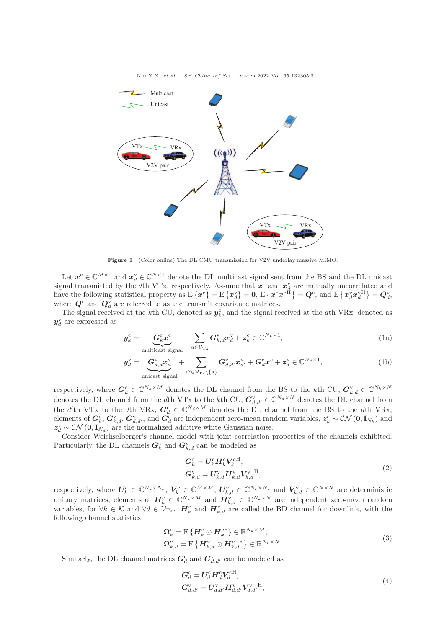<span id="page-2-0"></span>

Figure 1 (Color online) The DL CMU transmission for V2V underlay massive MIMO.

Let  $x^c \in \mathbb{C}^{M \times 1}$  and  $x_d^v \in \mathbb{C}^{N \times 1}$  denote the DL multicast signal sent from the BS and the DL unicast signal transmitted by the dth VTx, respectively. Assume that  $x^c$  and  $x^v_d$  are mutually uncorrelated and have the following statistical property as  $E\{\boldsymbol{x}^{\mathrm{c}}\} = E\{\boldsymbol{x}^{\mathrm{v}}_d\} = \mathbf{0}, E\{\boldsymbol{x}^{\mathrm{c}}\boldsymbol{x}^{\mathrm{c}}^{\mathrm{H}}\} = \boldsymbol{Q}^{\mathrm{c}}, \text{ and } E\{\boldsymbol{x}^{\mathrm{v}}_d\boldsymbol{x}^{\mathrm{v}}_d\} = \boldsymbol{Q}^{\mathrm{v}}_d,$ where  $Q^c$  and  $Q_d^v$  are referred to as the transmit covariance matrices.

The signal received at the k<sup>th</sup> CU, denoted as  $y_k^c$ , and the signal received at the dth VRx, denoted as  $\pmb{y}^{\text{v}}_d$  are expressed as

$$
\boldsymbol{y}_{k}^{\mathrm{c}} = \underbrace{\boldsymbol{G}_{k}^{\mathrm{c}} \boldsymbol{x}^{\mathrm{c}}}_{\mathrm{multicast signal}} + \sum_{d \in \mathcal{V}_{\mathrm{Tx}}} \boldsymbol{G}_{k,d}^{\mathrm{v}} \boldsymbol{x}_{d}^{\mathrm{v}} + \boldsymbol{z}_{k}^{\mathrm{c}} \in \mathbb{C}^{N_{k} \times 1},\tag{1a}
$$

$$
\mathbf{y}_d^{\mathrm{V}} = \underbrace{\mathbf{G}_{d,d}^{\mathrm{V}} \mathbf{x}_d^{\mathrm{V}}}_{\text{unicast signal}} + \sum_{d' \in \mathcal{V}_{\mathrm{Tx}} \setminus \{d\}} \mathbf{G}_{d,d'}^{\mathrm{V}} \mathbf{x}_{d'}^{\mathrm{V}} + \mathbf{G}_d^{\mathrm{c}} \mathbf{x}^{\mathrm{c}} + \mathbf{z}_d^{\mathrm{V}} \in \mathbb{C}^{N_d \times 1},\tag{1b}
$$

respectively, where  $G_k^c \in \mathbb{C}^{N_k \times M}$  denotes the DL channel from the BS to the kth CU,  $G_{k,d}^{\mathrm{v}} \in \mathbb{C}^{N_k \times N}$ denotes the DL channel from the dth VTx to the kth CU,  $G_{d,d'}^{\vee} \in \mathbb{C}^{N_d \times N}$  denotes the DL channel from the d'th VTx to the dth VRx,  $G_d^c \in \mathbb{C}^{N_d \times M}$  denotes the DL channel from the BS to the dth VRx, elements of  $G_k^c$ ,  $G_{k,d}^{\rm v}$ ,  $G_{d,d'}^{\rm v}$ , and  $G_d^c$  are independent zero-mean random variables,  $z_k^c \sim \mathcal{CN}(0, I_{N_k})$  and  $z_d^{\text{v}} \sim \mathcal{CN}(\mathbf{0}, \mathbf{I}_{N_d})$  are the normalized additive white Gaussian noise.

Consider Weichselberger's channel model with joint correlation properties of the channels exhibited. Particularly, the DL channels  $G_k^c$  and  $G_{k,d}^v$  can be modeled as

$$
G_k^{\rm c} = U_k^{\rm c} H_k^{\rm c} V_k^{\rm c}^{\rm H},
$$
  
\n
$$
G_{k,d}^{\rm v} = U_{k,d}^{\rm v} H_{k,d}^{\rm v} V_{k,d}^{\rm v}^{\rm H},
$$
\n(2)

respectively, where  $U_k^c \in \mathbb{C}^{N_k \times N_k}$ ,  $V_k^c \in \mathbb{C}^{M \times M}$ ,  $U_{k,d}^{\mathrm{v}} \in \mathbb{C}^{N_k \times N_k}$  and  $V_{k,d}^{\mathrm{v}} \in \mathbb{C}^{N \times N}$  are deterministic unitary matrices, elements of  $H_k^c \in \mathbb{C}^{N_k \times M}$  and  $H_{k,d}^{\vee} \in \mathbb{C}^{N_k \times N}$  are independent zero-mean random variables, for  $\forall k \in \mathcal{K}$  and  $\forall d \in \mathcal{V}_{Tx}$ .  $\boldsymbol{H}_k^c$  and  $\boldsymbol{H}_{k,d}^v$  are called the BD channel for downlink, with the following channel statistics:

$$
\Omega_k^c = E\left\{H_k^c \odot H_k^{c*}\right\} \in \mathbb{R}^{N_k \times M},
$$
\n
$$
\Omega_{k,d}^v = E\left\{H_{k,d}^v \odot H_{k,d}^v\right\} \in \mathbb{R}^{N_k \times N}.
$$
\n(3)

Similarly, the DL channel matrices  $G_d^c$  and  $G_{d,d'}^v$  can be modeled as

$$
G_d^{\text{c}} = U_d^{\text{c}} H_d^{\text{c}} V_d^{\text{c}}^{\text{H}},
$$
  
\n
$$
G_{d,d'}^{\text{v}} = U_{d,d'}^{\text{v}} H_{d,d'}^{\text{v}} V_{d,d'}^{\text{v}}^{\text{H}},
$$
\n(4)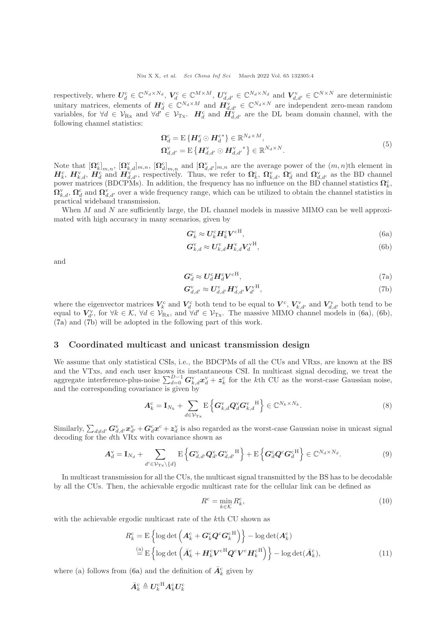respectively, where  $U_d^c \in \mathbb{C}^{N_d \times N_d}$ ,  $V_d^c \in \mathbb{C}^{M \times M}$ ,  $U_{d,d'}^{\mathbf{v}} \in \mathbb{C}^{N_d \times N_d}$  and  $V_{d,d'}^{\mathbf{v}} \in \mathbb{C}^{N \times N}$  are deterministic unitary matrices, elements of  $H_d^c \in \mathbb{C}^{N_d \times M}$  and  $H_{d,d'}^v \in \mathbb{C}^{N_d \times N}$  are independent zero-mean random variables, for  $\forall d \in \mathcal{V}_{Rx}$  and  $\forall d' \in \mathcal{V}_{Tx}$ .  $\mathbf{H}_d^c$  and  $\mathbf{H}_{d,d'}^{\mathbf{v}}$  are the DL beam domain channel, with the following channel statistics:

$$
\Omega_d^c = \mathcal{E}\left\{H_d^c \odot H_d^{c*}\right\} \in \mathbb{R}^{N_d \times M},
$$
\n
$$
\Omega_{d,d'}^{\vee} = \mathcal{E}\left\{H_{d,d'}^{\vee} \odot H_{d,d'}^{v*}\right\} \in \mathbb{R}^{N_d \times N}.
$$
\n(5)

Note that  $[\Omega_k^c]_{m,n}$ ,  $[\Omega_{k,d}^v]_{m,n}$ ,  $[\Omega_d^c]_{m,n}$  and  $[\Omega_{d,d'}^v]_{m,n}$  are the average power of the  $(m,n)$ th element in  $H_k^c$ ,  $H_{k,d}^v$ ,  $H_d^c$  and  $H_{d,d'}^v$ , respectively. Thus, we refer to  $\Omega_k^c$ ,  $\Omega_{k,d}^v$ ,  $\Omega_d^c$  and  $\Omega_{d,d'}^v$  as the BD channel power matrices (BDCPMs). In addition, the frequency has no influence on the BD channel statistics  $\Omega_k^c$ ,  $\Omega_{k,d}^{\vee}, \Omega_d^c$  and  $\Omega_{d,d'}^{\vee}$  over a wide frequency range, which can be utilized to obtain the channel statistics in practical wideband transmission.

When  $M$  and  $N$  are sufficiently large, the DL channel models in massive MIMO can be well approximated with high accuracy in many scenarios, given by

<span id="page-3-2"></span><span id="page-3-1"></span>
$$
G_k^{\rm c} \approx U_k^{\rm c} H_k^{\rm c} V^{\rm cH},\tag{6a}
$$

<span id="page-3-3"></span>
$$
G_{k,d}^{\mathbf{v}} \approx U_{k,d}^{\mathbf{v}} \mathbf{H}_{k,d}^{\mathbf{v}} \mathbf{V}_d^{\mathbf{v}^{\mathbf{H}}},\tag{6b}
$$

and

$$
G_d^{\rm c} \approx U_d^{\rm c} H_d^{\rm c} V^{\rm cH},\tag{7a}
$$

<span id="page-3-4"></span>
$$
G_{d,d'}^{\mathbf{v}} \approx U_{d,d'}^{\mathbf{v}} H_{d,d'}^{\mathbf{v}} V_{d'}^{\mathbf{v} \mathbf{H}},\tag{7b}
$$

where the eigenvector matrices  $V_k^c$  and  $V_d^c$  both tend to be equal to  $V^c$ ,  $V_{k,d'}^v$  and  $V_{d,d'}^v$  both tend to be equal to  $V_{d'}^{\text{v}}$ , for  $\forall k \in \mathcal{K}$ ,  $\forall d \in \mathcal{V}_{\text{Rx}}$ , and  $\forall d' \in \mathcal{V}_{\text{Tx}}$ . The massive MIMO channel models in [\(6a\)](#page-3-1), [\(6b\)](#page-3-2), [\(7a\)](#page-3-3) and [\(7b\)](#page-3-4) will be adopted in the following part of this work.

#### <span id="page-3-0"></span>3 Coordinated multicast and unicast transmission design

We assume that only statistical CSIs, i.e., the BDCPMs of all the CUs and VRxs, are known at the BS and the VTxs, and each user knows its instantaneous CSI. In multicast signal decoding, we treat the aggregate interference-plus-noise  $\sum_{d=0}^{D-1} G_{k,d}^{\rm v} x_d^{\rm v} + z_k^{\rm c}$  for the kth CU as the worst-case Gaussian noise, and the corresponding covariance is given by

$$
\boldsymbol{A}_{k}^{\mathrm{c}} = \mathbf{I}_{N_{k}} + \sum_{d \in \mathcal{V}_{\mathrm{Tx}}} \mathrm{E} \left\{ \boldsymbol{G}_{k,d}^{\mathrm{v}} \boldsymbol{Q}_{d}^{\mathrm{v}} \boldsymbol{G}_{k,d}^{\mathrm{v}} \right\} \in \mathbb{C}^{N_{k} \times N_{k}}.
$$
\n
$$
(8)
$$

Similarly,  $\sum_{d\neq d'} G^{\rm v}_{d,d'}x^{\rm v}_{d'} + G^{\rm c}_dx^c + z^{\rm v}_d$  is also regarded as the worst-case Gaussian noise in unicast signal decoding for the dth VRx with covariance shown as

$$
\mathbf{A}_d^{\mathrm{v}} = \mathbf{I}_{N_d} + \sum_{d' \in \mathcal{V}_{\mathrm{Tx}} \backslash \{d\}} \mathrm{E} \left\{ \mathbf{G}_{d,d'}^{\mathrm{v}} \mathbf{Q}_{d'}^{\mathrm{v}} \mathbf{G}_{d,d'}^{\mathrm{v}}^{\mathrm{H}} \right\} + \mathrm{E} \left\{ \mathbf{G}_d^{\mathrm{c}} \mathbf{Q}^{\mathrm{c}} \mathbf{G}_d^{\mathrm{c}}^{\mathrm{H}} \right\} \in \mathbb{C}^{N_d \times N_d}.
$$
\n(9)

In multicast transmission for all the CUs, the multicast signal transmitted by the BS has to be decodable by all the CUs. Then, the achievable ergodic multicast rate for the cellular link can be defined as

<span id="page-3-5"></span>
$$
R^c = \min_{k \in \mathcal{K}} R_k^c,\tag{10}
$$

with the achievable ergodic multicast rate of the kth CU shown as

$$
R_k^{\rm c} = \mathbf{E} \left\{ \log \det \left( \mathbf{A}_k^{\rm c} + \mathbf{G}_k^{\rm c} \mathbf{Q}^{\rm c} \mathbf{G}_k^{\rm c}^{\rm H} \right) \right\} - \log \det(\mathbf{A}_k^{\rm c})
$$
  
\n
$$
\stackrel{\text{(a)}}{=} \mathbf{E} \left\{ \log \det \left( \bar{\mathbf{A}}_k^{\rm c} + \mathbf{H}_k^{\rm c} \mathbf{V}^{\rm c}^{\rm H} \mathbf{Q}^{\rm c} \mathbf{V}^{\rm c} \mathbf{H}_k^{\rm c}^{\rm H} \right) \right\} - \log \det(\bar{\mathbf{A}}_k^{\rm c}), \tag{11}
$$

where (a) follows from [\(6a\)](#page-3-1) and the definition of  $\bar{\mathbf{A}}_k^{\rm c}$  given by

$$
\bar{\boldsymbol{A}}_k^{\mathrm{c}} \triangleq \boldsymbol{U}_k^{\mathrm{c}\mathrm{H}} \boldsymbol{A}_k^{\mathrm{c}} \boldsymbol{U}_k^{\mathrm{c}}
$$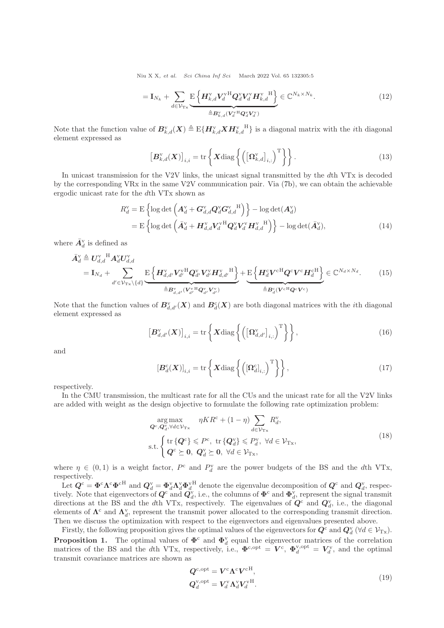Niu X X, et al. Sci China Inf Sci March 2022 Vol. 65 132305:5

<span id="page-4-5"></span>
$$
= \mathbf{I}_{N_k} + \sum_{d \in \mathcal{V}_{\mathrm{Tx}}} \underbrace{\mathrm{E} \left\{ \boldsymbol{H}_{k,d}^{\mathrm{v}} \boldsymbol{V}_d^{\mathrm{v}} \mathbf{H} \boldsymbol{Q}_d^{\mathrm{v}} \boldsymbol{V}_d^{\mathrm{v}} \boldsymbol{H}_{k,d}^{\mathrm{v}} \right\}}_{\triangleq \boldsymbol{B}_{k,d}^{\mathrm{v}} (\boldsymbol{V}_d^{\mathrm{v}} \mathbf{H} \boldsymbol{Q}_d^{\mathrm{v}} \boldsymbol{V}_d^{\mathrm{v}})} \in \mathbb{C}^{N_k \times N_k}.
$$
\n(12)

Note that the function value of  $B_{k,d}^{\rm v}(X) \triangleq E{H_{k,d}^{\rm v}XH_{k,d}^{\rm v}}^{\rm H}$  is a diagonal matrix with the *i*th diagonal element expressed as

<span id="page-4-7"></span><span id="page-4-3"></span>
$$
\left[\boldsymbol{B}_{k,d}^{\mathrm{v}}(\boldsymbol{X})\right]_{i,i} = \mathrm{tr}\left\{\boldsymbol{X}\mathrm{diag}\left\{\left(\left[\boldsymbol{\Omega}_{k,d}^{\mathrm{v}}\right]_{i,:}\right)^{\mathrm{T}}\right\}\right\}.
$$
\n(13)

In unicast transmission for the V2V links, the unicast signal transmitted by the dth VTx is decoded by the corresponding VRx in the same V2V communication pair. Via [\(7b\)](#page-3-4), we can obtain the achievable ergodic unicast rate for the dth VTx shown as

$$
R_d^{\text{v}} = \text{E}\left\{\log \det \left(\mathbf{A}_d^{\text{v}} + \mathbf{G}_{d,d}^{\text{v}} \mathbf{Q}_d^{\text{v}} \mathbf{G}_{d,d}^{\text{v}}^{\text{H}}\right)\right\} - \log \det(\mathbf{A}_d^{\text{v}})
$$
  
= 
$$
\text{E}\left\{\log \det \left(\bar{\mathbf{A}}_d^{\text{v}} + \mathbf{H}_{d,d}^{\text{v}} \mathbf{V}_d^{\text{v}} \mathbf{H} \mathbf{Q}_d^{\text{v}} \mathbf{V}_d^{\text{v}} \mathbf{H}_{d,d}^{\text{v}}^{\text{H}}\right)\right\} - \log \det(\bar{\mathbf{A}}_d^{\text{v}}),
$$
 (14)

where  $\bar{A}^{\text{v}}_d$  is defined as

$$
\bar{A}_{d}^{\text{v}} \triangleq U_{d,d}^{\text{v}}{}^{H} A_{d}^{\text{v}} U_{d,d}^{\text{v}} \n= I_{N_d} + \sum_{d' \in \mathcal{V}_{\text{Tx}}} \mathbb{E} \left\{ \boldsymbol{H}_{d,d'}^{\text{v}} V_{d'}^{\text{v}}{}^{H} \boldsymbol{Q}_{d'}^{\text{v}} V_{d'}^{\text{v}} \boldsymbol{H}_{d,d'}^{\text{v}}{}^{H} \right\} + \mathbb{E} \left\{ \boldsymbol{H}_{d}^{\text{c}} \boldsymbol{V}^{\text{c}}{}^{H} \boldsymbol{Q}^{\text{c}} \boldsymbol{V}^{\text{c}} \boldsymbol{H}_{d}^{\text{c}} \right\} \in \mathbb{C}^{N_d \times N_d}.
$$
\n(15)

Note that the function values of  $B_{d,d'}^{\rm v}(X)$  and  $B_d^{\rm c}(X)$  are both diagonal matrices with the *i*th diagonal element expressed as

<span id="page-4-6"></span>
$$
\left[\boldsymbol{B}_{d,d'}^{\mathrm{v}}(\boldsymbol{X})\right]_{i,i} = \mathrm{tr}\left\{\boldsymbol{X}\mathrm{diag}\left\{\left(\left[\boldsymbol{\Omega}_{d,d'}^{\mathrm{v}}\right]_{i,:}\right)^{\mathrm{T}}\right\}\right\},\tag{16}
$$

and

<span id="page-4-4"></span>
$$
\left[\boldsymbol{B}_d^{\mathrm{c}}(\boldsymbol{X})\right]_{i,i} = \mathrm{tr}\left\{\boldsymbol{X}\mathrm{diag}\left\{\left(\left[\boldsymbol{\Omega}_{d}^{\mathrm{c}}\right]_{i,:}\right)^{\mathrm{T}}\right\}\right\},\tag{17}
$$

respectively.

In the CMU transmission, the multicast rate for all the CUs and the unicast rate for all the V2V links are added with weight as the design objective to formulate the following rate optimization problem:

<span id="page-4-2"></span>
$$
\arg\max_{\mathbf{Q}^c, \mathbf{Q}_d^v, \forall d \in \mathcal{V}_{\text{Tx}}} \eta K R^c + (1 - \eta) \sum_{d \in \mathcal{V}_{\text{Tx}}} R_d^v,
$$
\n
$$
\text{s.t.} \begin{cases} \text{tr}\{\mathbf{Q}^c\} \leqslant P^c, \text{ tr}\{\mathbf{Q}_d^v\} \leqslant P_d^v, \forall d \in \mathcal{V}_{\text{Tx}},\\ \mathbf{Q}^c \succeq \mathbf{0}, \ \mathbf{Q}_d^v \succeq \mathbf{0}, \ \forall d \in \mathcal{V}_{\text{Tx}}, \end{cases} \tag{18}
$$

where  $\eta \in (0,1)$  is a weight factor,  $P^c$  and  $P_d^v$  are the power budgets of the BS and the dth VTx, respectively.

Let  $Q^c = \Phi^c \Lambda^c \Phi^{cH}$  and  $Q_d^v = \Phi_d^v \Lambda_d^v \Phi_d^{vH}$  denote the eigenvalue decomposition of  $Q^c$  and  $Q_d^v$ , respectively. Note that eigenvectors of  $Q^c$  and  $Q_d^v$ , i.e., the columns of  $\Phi^c$  and  $\Phi_d^v$ , represent the signal transmit directions at the BS and the dth VTx, respectively. The eigenvalues of  $Q^c$  and  $Q_d^v$ , i.e., the diagonal elements of  $\mathbf{\Lambda}^c$  and  $\mathbf{\Lambda}^{\mathbf{V}}_d$ , represent the transmit power allocated to the corresponding transmit direction. Then we discuss the optimization with respect to the eigenvectors and eigenvalues presented above.

Firstly, the following proposition gives the optimal values of the eigenvectors for  $Q^c$  and  $Q_d^{\rm v}$  ( $\forall d \in \mathcal{V}_{\rm Tx}$ ).

<span id="page-4-0"></span>**Proposition 1.** The optimal values of  $\Phi^c$  and  $\Phi_d^v$  equal the eigenvector matrices of the correlation matrices of the BS and the dth VTx, respectively, i.e.,  $\mathbf{\Phi}^{\text{c,opt}} = \mathbf{V}^{\text{c}}$ ,  $\mathbf{\Phi}_{d}^{\text{v,opt}} = \mathbf{V}_{d}^{\text{v}}$ , and the optimal transmit covariance matrices are shown as

<span id="page-4-1"></span>
$$
Q^{\text{c,opt}}_{d} = V^{\text{c}} \Lambda^{\text{c}} V^{\text{cH}},
$$
  
\n
$$
Q_d^{\text{v,opt}} = V_d^{\text{v}} \Lambda_d^{\text{v}} V_d^{\text{H}}.
$$
\n(19)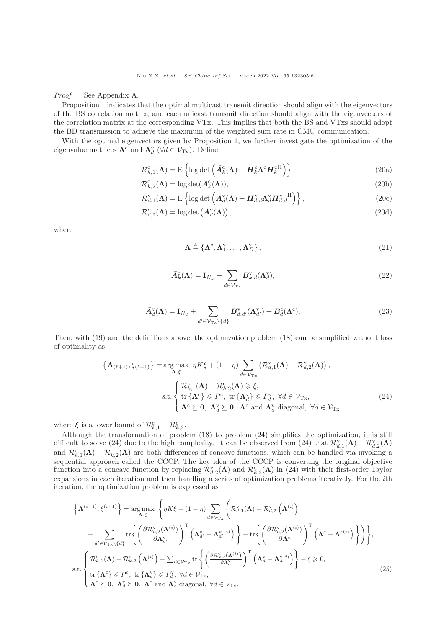Niu X X, et al. Sci China Inf Sci March 2022 Vol. 65 132305:6

Proof. See Appendix A.

Proposition [1](#page-4-0) indicates that the optimal multicast transmit direction should align with the eigenvectors of the BS correlation matrix, and each unicast transmit direction should align with the eigenvectors of the correlation matrix at the corresponding VTx. This implies that both the BS and VTxs should adopt the BD transmission to achieve the maximum of the weighted sum rate in CMU communication.

With the optimal eigenvectors given by Proposition [1,](#page-4-0) we further investigate the optimization of the eigenvalue matrices  $\mathbf{\Lambda}^c$  and  $\mathbf{\Lambda}^v_d$  ( $\forall d \in \mathcal{V}_{Tx}$ ). Define

$$
\mathcal{R}_{k,1}^{\text{c}}(\mathbf{\Lambda}) = \mathrm{E}\left\{ \log \det \left( \bar{\mathbf{A}}_k^{\text{c}}(\mathbf{\Lambda}) + \mathbf{H}_k^{\text{c}} \mathbf{\Lambda}^{\text{c}} \mathbf{H}_k^{\text{c}}^{\text{H}} \right) \right\},\tag{20a}
$$

$$
\mathcal{R}_{k,2}^{\text{c}}(\mathbf{\Lambda}) = \log \det(\bar{A}_k^{\text{c}}(\mathbf{\Lambda})),\tag{20b}
$$

$$
\mathcal{R}_{d,1}^{\mathrm{v}}(\mathbf{\Lambda}) = \mathrm{E}\left\{ \log \det \left( \bar{A}_d^{\mathrm{v}}(\mathbf{\Lambda}) + \mathbf{H}_{d,d}^{\mathrm{v}} \mathbf{\Lambda}_d^{\mathrm{v}} \mathbf{H}_{d,d}^{\mathrm{v}} \right) \right\},\tag{20c}
$$

$$
\mathcal{R}_{d,2}^{\mathbf{v}}(\mathbf{\Lambda}) = \log \det \left( \bar{\mathbf{A}}_d^{\mathbf{v}}(\mathbf{\Lambda}) \right),\tag{20d}
$$

where

$$
\Lambda \triangleq \left\{ \Lambda^{\rm c}, \Lambda^{\rm v}_1, \ldots, \Lambda^{\rm v}_D \right\},\tag{21}
$$

<span id="page-5-0"></span>
$$
\bar{A}_k^c(\Lambda) = \mathbf{I}_{N_k} + \sum_{d \in \mathcal{V}_{\mathrm{Tx}}} B_{k,d}^{\mathrm{v}}(\Lambda_d^{\mathrm{v}}),\tag{22}
$$

$$
\bar{A}_d^{\mathrm{v}}(\Lambda) = \mathbf{I}_{N_d} + \sum_{d' \in \mathcal{V}_{\mathrm{Tx}} \backslash \{d\}} B_{d,d'}^{\mathrm{v}}(\Lambda_{d'}^{\mathrm{v}}) + B_d^{\mathrm{c}}(\Lambda^{\mathrm{c}}). \tag{23}
$$

Then, with [\(19\)](#page-4-1) and the definitions above, the optimization problem [\(18\)](#page-4-2) can be simplified without loss of optimality as

$$
\left\{\Lambda_{(\ell+1)}, \xi_{(\ell+1)}\right\} = \underset{\mathbf{\Lambda}, \xi}{\arg \max} \ \eta K \xi + (1 - \eta) \sum_{d \in \mathcal{V}_{\mathrm{Tx}}} \left(\mathcal{R}_{d,1}^{\mathrm{v}}(\mathbf{\Lambda}) - \mathcal{R}_{d,2}^{\mathrm{v}}(\mathbf{\Lambda})\right),
$$
\n
$$
\text{s.t.} \begin{cases} \mathcal{R}_{k,1}^{\mathrm{c}}(\mathbf{\Lambda}) - \mathcal{R}_{k,2}^{\mathrm{c}}(\mathbf{\Lambda}) \geq \xi, \\ \text{tr}\left\{\Lambda^{\mathrm{c}}\right\} \leqslant P^{\mathrm{c}}, \ \text{tr}\left\{\Lambda_d^{\mathrm{v}}\right\} \leqslant P_d^{\mathrm{v}}, \ \forall d \in \mathcal{V}_{\mathrm{Tx}}, \\ \Lambda^{\mathrm{c}} \succeq \mathbf{0}, \ \Lambda_d^{\mathrm{v}} \succeq \mathbf{0}, \ \Lambda^{\mathrm{c}} \ \text{and} \ \Lambda_d^{\mathrm{v}} \ \text{diagonal}, \ \forall d \in \mathcal{V}_{\mathrm{Tx}}, \end{cases} \tag{24}
$$

where  $\xi$  is a lower bound of  $\mathcal{R}_{k,1}^c - \mathcal{R}_{k,2}^c$ .

Although the transformation of problem [\(18\)](#page-4-2) to problem [\(24\)](#page-5-0) simplifies the optimization, it is still difficult to solve [\(24\)](#page-5-0) due to the high complexity. It can be observed from (24) that  $\mathcal{R}_{d,1}^{\rm v}(\mathbf{\Lambda}) - \mathcal{R}_{d,2}^{\rm v}(\mathbf{\Lambda})$ and  $\mathcal{R}_{k,1}^c(\mathbf{\Lambda}) - \mathcal{R}_{k,2}^c(\mathbf{\Lambda})$  are both differences of concave functions, which can be handled via invoking a sequential approach called the CCCP. The key idea of the CCCP is converting the original objective function into a concave function by replacing  $\mathcal{R}_{d,2}^{\mathbf{v}}(\mathbf{\Lambda})$  and  $\mathcal{R}_{k,2}^{\mathbf{c}}(\mathbf{\Lambda})$  in [\(24\)](#page-5-0) with their first-order Taylor expansions in each iteration and then handling a series of optimization problems iteratively. For the *i*th iteration, the optimization problem is expressed as

<span id="page-5-1"></span>
$$
\left\{\Lambda^{(i+1)},\xi^{(i+1)}\right\} = \underset{\Lambda,\xi}{\arg\max} \left\{\eta K\xi + (1-\eta) \sum_{d\in\mathcal{V}_{\text{Tx}}}\left(\mathcal{R}_{d,1}^{\text{v}}(\Lambda) - \mathcal{R}_{d,2}^{\text{v}}\left(\Lambda^{(i)}\right)\right) - \sum_{d'\in\mathcal{V}_{\text{Tx}}\backslash\{d\}}\text{tr}\left\{\left(\frac{\partial\mathcal{R}_{d,2}^{\text{v}}(\Lambda^{(i)})}{\partial\Lambda_{d'}^{\text{v}}}\right)^{\text{T}}\left(\Lambda_{d'}^{\text{v}} - \Lambda_{d'}^{\text{v}}^{(i)}\right)\right\} - \text{tr}\left\{\left(\frac{\partial\mathcal{R}_{d,2}^{\text{v}}(\Lambda^{(i)})}{\partial\Lambda_{c}}\right)^{\text{T}}\left(\Lambda_{c}^{\text{c}} - \Lambda_{c}^{\text{c}(i)}\right)\right\}\right\},
$$
\n
$$
\text{s.t.}\left\{\mathcal{R}_{k,1}^{\text{c}}(\Lambda) - \mathcal{R}_{k,2}^{\text{c}}\left(\Lambda^{(i)}\right) - \sum_{d\in\mathcal{V}_{\text{Tx}}} \text{tr}\left\{\left(\frac{\partial\mathcal{R}_{k,2}^{\text{c}}(\Lambda^{(i)})}{\partial\Lambda_{d}^{\text{v}}}\right)^{\text{T}}\left(\Lambda_{d}^{\text{v}} - \Lambda_{d}^{\text{v}}^{(i)}\right)\right\} - \xi \geq 0,
$$
\n
$$
\text{s.t.}\left\{\text{tr}\left\{\Lambda_{c}^{\text{c}}\right\} \leqslant P^{\text{c}}_{\text{c}}, \text{ tr}\left\{\Lambda_{d}^{\text{v}}\right\} \leqslant P_{d}^{\text{v}}, \forall d\in\mathcal{V}_{\text{Tx}},\right.\right. (25)
$$
\n
$$
\Lambda_{c}^{\text{c}} \geqslant \mathbf{0}, \ \Lambda_{d}^{\text{v}} \geqslant \mathbf{0}, \ \Lambda_{c}^{\text{c}} \text{ and } \Lambda_{d}^{\text{v}} \text{ diagonal}, \ \forall d\in\mathcal{V}_{\text{Tx}},
$$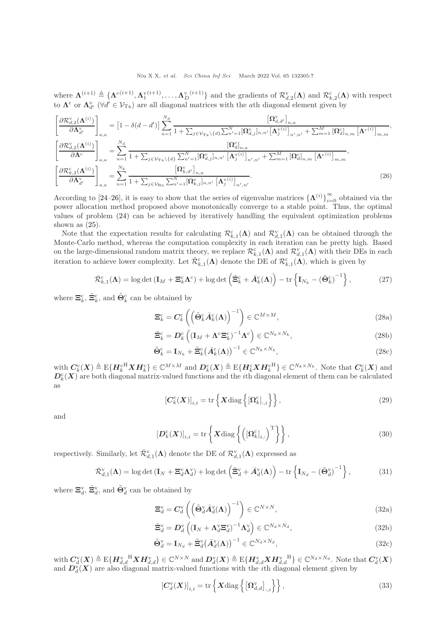where  $\Lambda^{(i+1)} \triangleq {\Lambda^{c(i+1)}, \Lambda^{v(i+1)}_1, \ldots, \Lambda^{v(i+1)}_D}$  and the gradients of  $\mathcal{R}^v_{d,2}(\Lambda)$  and  $\mathcal{R}^c_{k,2}(\Lambda)$  with respect to  $\Lambda^c$  or  $\Lambda^v_{d'}$  ( $\forall d' \in \mathcal{V}_{Tx}$ ) are all diagonal matrices with the *ath* diagonal element given by

$$
\begin{split}\n\left[\frac{\partial \mathcal{R}_{d,2}^{v}(\mathbf{\Lambda}^{(i)})}{\partial \mathbf{\Lambda}_{d'}^{v}}\right]_{a,a} &= \left[1 - \delta(d-d')\right] \sum_{n=1}^{N_d} \frac{\left[\mathbf{\Omega}_{d,d'}^{v}\right]_{n,a}}{1 + \sum_{j \in \mathcal{V}_{\text{Tx}} \backslash \{d\}} \sum_{n'=1}^{N} \left[\mathbf{\Omega}_{d,j}^{v}\right]_{n,n'} \left[\mathbf{\Lambda}_{j}^{v(i)}\right]_{n',n'} + \sum_{m=1}^{M} \left[\mathbf{\Omega}_{d,n,m}^{c}\left[\mathbf{\Lambda}_{c}^{c(i)}\right]_{m,m} \right]_{n',m'} \\
\left[\frac{\partial \mathcal{R}_{d,2}^{v}(\mathbf{\Lambda}^{(i)})}{\partial \mathbf{\Lambda}^{c}}\right]_{a,a} &= \sum_{n=1}^{N_d} \frac{\left[\mathbf{\Omega}_{d,n,m}^{v}\right]}{1 + \sum_{j \in \mathcal{V}_{\text{Tx}} \backslash \{d\}} \sum_{n'=1}^{N} \left[\mathbf{\Omega}_{d,j}^{v}\right]_{n,n'} \left[\mathbf{\Lambda}_{j}^{v(i)}\right]_{n',n'} + \sum_{m=1}^{M} \left[\mathbf{\Omega}_{d,n,m}^{c}\left[\mathbf{\Lambda}_{c}^{c(i)}\right]_{m,m} \right]_{n',m'} \\
\left[\frac{\partial \mathcal{R}_{k,2}^{c}(\mathbf{\Lambda}^{(i)})}{\partial \mathbf{\Lambda}_{d'}^{v}}\right]_{a,a} &= \sum_{n=1}^{N_k} \frac{\left[\mathbf{\Omega}_{k,d'}^{v}\right]_{n,a}}{1 + \sum_{j \in \mathcal{V}_{\text{Rx}} \sum_{n'=1}^{N} \left[\mathbf{\Omega}_{k,j}^{v}\right]_{n,n'} \left[\mathbf{\Lambda}_{j}^{v(i)}\right]_{n',n'}}.\n\end{split} \tag{26}
$$

According to [\[24](#page-10-4)[–26\]](#page-10-5), it is easy to show that the series of eigenvalue matrices  $\{\Lambda^{(i)}\}_{i=0}^{\infty}$  obtained via the power allocation method proposed above monotonically converge to a stable point. Thus, the optimal values of problem [\(24\)](#page-5-0) can be achieved by iteratively handling the equivalent optimization problems shown as  $(25)$ .

Note that the expectation results for calculating  $\mathcal{R}_{k,1}^c(\Lambda)$  and  $\mathcal{R}_{d,1}^v(\Lambda)$  can be obtained through the Monte-Carlo method, whereas the computation complexity in each iteration can be pretty high. Based on the large-dimensional random matrix theory, we replace  $\mathcal{R}^{\mathfrak{c}}_{k,1}(\mathbf{\Lambda})$  and  $\mathcal{R}^{\mathsf{v}}_{d,1}(\mathbf{\Lambda})$  with their DEs in each iteration to achieve lower complexity. Let  $\bar{\mathcal{R}}_{k,1}^c(\mathbf{\Lambda})$  denote the DE of  $\mathcal{R}_{k,1}^c(\mathbf{\Lambda})$ , which is given by

$$
\bar{\mathcal{R}}_{k,1}^{\text{c}}(\mathbf{\Lambda}) = \log \det \left( \mathbf{I}_M + \mathbf{\Xi}_k^{\text{c}} \mathbf{\Lambda}^{\text{c}} \right) + \log \det \left( \tilde{\mathbf{\Xi}}_k^{\text{c}} + \bar{A}_k^{\text{c}}(\mathbf{\Lambda}) \right) - \text{tr} \left\{ \mathbf{I}_{N_k} - \left( \tilde{\mathbf{\Theta}}_k^{\text{c}} \right)^{-1} \right\},\tag{27}
$$

where  $\Xi_k^c$ ,  $\tilde{\Xi}_k^c$ , and  $\tilde{\Theta}_k^c$  can be obtained by

<span id="page-6-0"></span>
$$
\Xi_k^c = C_k^c \left( \left( \tilde{\Theta}_k^c \bar{A}_k^c(\Lambda) \right)^{-1} \right) \in \mathbb{C}^{M \times M}, \tag{28a}
$$

$$
\tilde{\Xi}_{k}^{c} = D_{k}^{c} \left( (\mathbf{I}_{M} + \boldsymbol{\Lambda}^{c} \boldsymbol{\Xi}_{k}^{c})^{-1} \boldsymbol{\Lambda}^{c} \right) \in \mathbb{C}^{N_{k} \times N_{k}},
$$
\n(28b)

$$
\tilde{\Theta}_k^c = \mathbf{I}_{N_k} + \tilde{\Xi}_k^c (\bar{A}_k^c(\Lambda))^{-1} \in \mathbb{C}^{N_k \times N_k},\tag{28c}
$$

with  $C_k^c(X) \triangleq E\{H_k^{cH} X H_k^c\} \in \mathbb{C}^{M \times M}$  and  $D_k^c(X) \triangleq E\{H_k^c X H_k^{cH}\} \in \mathbb{C}^{N_k \times N_k}$ . Note that  $C_k^c(X)$  and  $D_k^{\text{c}}(X)$  are both diagonal matrix-valued functions and the *i*th diagonal element of them can be calculated as

<span id="page-6-1"></span>
$$
\left[\boldsymbol{C}_{k}^{c}(\boldsymbol{X})\right]_{i,i} = \text{tr}\left\{\boldsymbol{X}\text{diag}\left\{ \left[\boldsymbol{\Omega}_{k}^{c}\right]_{:,i} \right\} \right\},\tag{29}
$$

and

$$
\left[\mathbf{D}_{k}^{\mathrm{c}}(\mathbf{X})\right]_{i,i} = \mathrm{tr}\left\{\mathbf{X}\mathrm{diag}\left\{\left([\mathbf{\Omega}_{k}^{\mathrm{c}}]_{i,:}\right)^{\mathrm{T}}\right\}\right\},\tag{30}
$$

respectively. Similarly, let  $\bar{\mathcal{R}}_{d,1}^{\rm v}(\mathbf{\Lambda})$  denote the DE of  $\mathcal{R}_{d,1}^{\rm v}(\mathbf{\Lambda})$  expressed as

$$
\bar{\mathcal{R}}_{d,1}^{\mathbf{v}}(\boldsymbol{\Lambda}) = \log \det \left( \mathbf{I}_N + \boldsymbol{\Xi}_d^{\mathbf{v}} \boldsymbol{\Lambda}_d^{\mathbf{v}} \right) + \log \det \left( \tilde{\boldsymbol{\Xi}}_d^{\mathbf{v}} + \bar{\boldsymbol{A}}_d^{\mathbf{v}}(\boldsymbol{\Lambda}) \right) - \operatorname{tr} \left\{ \mathbf{I}_{N_d} - \left( \tilde{\boldsymbol{\Theta}}_d^{\mathbf{v}} \right)^{-1} \right\},\tag{31}
$$

where  $\Xi_d^v$ ,  $\tilde{\Xi}_d^v$ , and  $\tilde{\Theta}_d^v$  can be obtained by

$$
\Xi_d^{\mathbf{v}} = C_d^{\mathbf{v}} \left( \left( \tilde{\Theta}_d^{\mathbf{v}} \bar{A}_d^{\mathbf{v}}(\Lambda) \right)^{-1} \right) \in \mathbb{C}^{N \times N},\tag{32a}
$$

$$
\tilde{\Xi}_d^{\rm v} = D_d^{\rm v} \left( \left( \mathbf{I}_N + \mathbf{\Lambda}_d^{\rm v} \Xi_d^{\rm v} \right)^{-1} \mathbf{\Lambda}_d^{\rm v} \right) \in \mathbb{C}^{N_d \times N_d},\tag{32b}
$$

$$
\tilde{\Theta}_d^{\mathbf{v}} = \mathbf{I}_{N_d} + \tilde{\Xi}_d^{\mathbf{v}} (\bar{A}_d^{\mathbf{v}}(\Lambda))^{-1} \in \mathbb{C}^{N_d \times N_d},\tag{32c}
$$

with  $C_d^{\scriptscriptstyle\rm V}(\bm X)\triangleq\mathrm{E}\{\bm H_{d,d}^{\scriptscriptstyle\rm V}\}^{\rm H}\bm X\bm H_{d,d}^{\scriptscriptstyle\rm V}\}\in\mathbb{C}^{N\times N}$  and  $\bm D_d^{\scriptscriptstyle\rm V}(\bm X)\triangleq\mathrm{E}\{\bm H_{d,d}^{\scriptscriptstyle\rm V}\bm X\bm H_{d,d}^{\scriptscriptstyle\rm V}\}$   $\in\mathbb{C}^{N_d\times N_d}$ . Note that  $C_d^{\scriptscriptstyle\rm V}(\bm X)$ and  $D_d^{\mathsf{v}}(X)$  are also diagonal matrix-valued functions with the *i*th diagonal element given by

$$
\left[\boldsymbol{C}_{d}^{\mathrm{v}}(\boldsymbol{X})\right]_{i,i} = \mathrm{tr}\left\{\boldsymbol{X}\mathrm{diag}\left\{\left[\boldsymbol{\Omega}_{d,d}^{\mathrm{v}}\right]_{:,i}\right\}\right\},\tag{33}
$$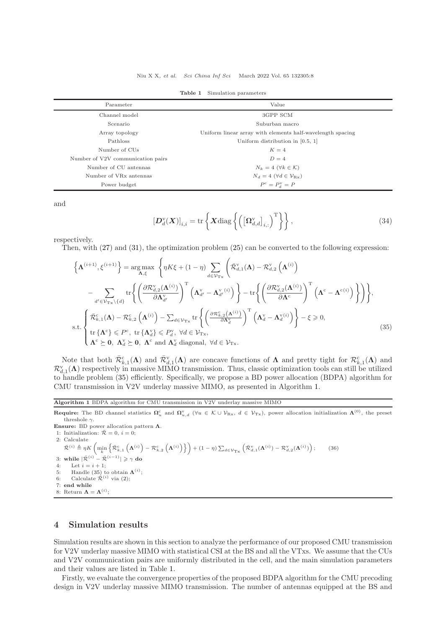<span id="page-7-4"></span>

| Parameter                          | Value                                                      |  |
|------------------------------------|------------------------------------------------------------|--|
| Channel model                      | 3GPP SCM                                                   |  |
| Scenario                           | Suburban macro                                             |  |
| Array topology                     | Uniform linear array with elements half-wavelength spacing |  |
| Pathloss                           | Uniform distribution in $[0.5, 1]$                         |  |
| Number of CUs                      | $K=4$                                                      |  |
| Number of V2V communication pairs  | $D=4$                                                      |  |
| Number of CU antennas              | $N_k = 4 \; (\forall k \in \mathcal{K})$                   |  |
| Number of VR <sub>x</sub> antennas | $N_d = 4 \; (\forall d \in \mathcal{V}_{\text{Rx}})$       |  |
| Power budget                       | $P^{c} = P_{d}^{v} = P$                                    |  |
|                                    |                                                            |  |

Table 1 Simulation parameters

and

<span id="page-7-1"></span>
$$
\left[\boldsymbol{D}_d^{\mathrm{v}}(\boldsymbol{X})\right]_{i,i} = \mathrm{tr}\left\{\boldsymbol{X}\mathrm{diag}\left\{\left(\left[\boldsymbol{\Omega}_{d,d}^{\mathrm{v}}\right]_{i,:}\right)^{\mathrm{T}}\right\}\right\},\tag{34}
$$

respectively.

Then, with [\(27\)](#page-6-0) and [\(31\)](#page-6-1), the optimization problem [\(25\)](#page-5-1) can be converted to the following expression:

$$
\left\{\mathbf{\Lambda}^{(i+1)}, \xi^{(i+1)}\right\} = \underset{\mathbf{\Lambda}, \xi}{\arg \max} \left\{\eta K \xi + (1 - \eta) \sum_{d \in \mathcal{V}_{\mathrm{Tx}}} \left(\bar{\mathcal{R}}_{d,1}^{v}(\mathbf{\Lambda}) - \mathcal{R}_{d,2}^{v}\left(\mathbf{\Lambda}^{(i)}\right)\right) - \sum_{d' \in \mathcal{V}_{\mathrm{Tx}}} \left\{\left(\frac{\partial \mathcal{R}_{d,2}^{v}(\mathbf{\Lambda}^{(i)})}{\partial \mathbf{\Lambda}_{d'}^{v}}\right)^{\mathrm{T}} \left(\mathbf{\Lambda}_{d'}^{v} - \mathbf{\Lambda}_{d'}^{v}(i)\right)\right\} - \mathrm{tr}\left\{\left(\frac{\partial \mathcal{R}_{d,2}^{v}(\mathbf{\Lambda}^{(i)})}{\partial \mathbf{\Lambda}^{c}}\right)^{\mathrm{T}} \left(\mathbf{\Lambda}^{c} - \mathbf{\Lambda}^{c}(i)\right)\right\}\right\},
$$
\n
$$
\text{s.t.} \left\{\overbrace{\bar{\mathcal{R}}_{k,1}^{\mathrm{c}}(\mathbf{\Lambda}) - \mathcal{R}_{k,2}^{\mathrm{c}}\left(\mathbf{\Lambda}^{(i)}\right) - \sum_{d \in \mathcal{V}_{\mathrm{Tx}}} \mathrm{tr}\left\{\left(\frac{\partial \mathcal{R}_{k,2}^{c}(\mathbf{\Lambda}^{(i)})}{\partial \mathbf{\Lambda}_{d}^{v}}\right)^{\mathrm{T}} \left(\mathbf{\Lambda}_{d}^{v} - \mathbf{\Lambda}_{d'}^{v}(i)\right)\right\} - \xi \geq 0,
$$
\n
$$
\text{s.t.} \left\{\mathbf{r} \{\mathbf{\Lambda}^{c}\} \leqslant P^{c}, \text{ tr}\{\mathbf{\Lambda}_{d}^{v}\} \leqslant P^{v}_{d}, \forall d \in \mathcal{V}_{\mathrm{Tx}},
$$
\n
$$
\mathbf{\Lambda}^{c} \succeq \mathbf{0}, \mathbf{\Lambda}_{d}^{v} \succeq \mathbf{0}, \mathbf{\Lambda}^{c} \text{ and } \mathbf{\Lambda}_{d}^{v} \text{ diagonal}, \forall d \in \mathcal{V}_{\mathrm{Tx}}.
$$
\n
$$
(35)
$$

Note that both  $\bar{\mathcal{R}}_{k,1}^c(\mathbf{\Lambda})$  and  $\bar{\mathcal{R}}_{d,1}^v(\mathbf{\Lambda})$  are concave functions of  $\mathbf{\Lambda}$  and pretty tight for  $\mathcal{R}_{k,1}^c(\mathbf{\Lambda})$  and  $\mathcal{R}_{d,1}^{\text{v}}(\mathbf{\Lambda})$  respectively in massive MIMO transmission. Thus, classic optimization tools can still be utilized to handle problem [\(35\)](#page-7-1) efficiently. Specifically, we propose a BD power allocation (BDPA) algorithm for CMU transmission in V2V underlay massive MIMO, as presented in Algorithm [1.](#page-7-2)

<span id="page-7-2"></span>Algorithm 1 BDPA algorithm for CMU transmission in V2V underlay massive MIMO

**Require:** The BD channel statistics  $\Omega_u^c$  and  $\Omega_{u,d}^v$  ( $\forall u \in \mathcal{K} \cup \mathcal{V}_{Rx}$ ,  $d \in \mathcal{V}_{Tx}$ ), power allocation initialization  $\Lambda^{(0)}$ , the preset threshole  $\gamma.$ 

Ensure: BD power allocation pattern  $\Lambda$ .

<span id="page-7-3"></span>1: Initialization:  $\overline{\mathcal{R}} = 0$ ,  $i = 0$ ;

2: Calculate

 $\bar{\mathcal{R}}^{(i)} \triangleq \eta K \left( \min_{k} \left\{ \bar{\mathcal{R}}_{k,1}^{\text{c}} \left( \boldsymbol{\Lambda}^{(i)} \right) - \mathcal{R}_{k,2}^{\text{c}} \left( \boldsymbol{\Lambda}^{(i)} \right) \right\} \right) + (1-\eta) \sum_{d \in \mathcal{V}_{\text{Tx}}} \left( \bar{\mathcal{R}}_{d,1}^{\text{v}}(\boldsymbol{\Lambda}^{(i)}) - \mathcal{R}_{d,2}^{\text{v}}(\boldsymbol{\Lambda}^{(i)}) \right)$  $(36)$ 3: while  $|\bar{\mathcal{R}}^{(i)} - \bar{\mathcal{R}}^{(i-1)}| \ge \gamma$  do 4: Let  $i = i + 1$ ; 5: Handle [\(35\)](#page-7-1) to obtain  $\Lambda^{(i)}$ ;<br>6: Calculate  $\bar{\mathcal{R}}^{(i)}$  via [\(2\)](#page-7-3); 7: end while 8: Return  $\mathbf{\Lambda} = \mathbf{\Lambda}^{(i)}$ ;

## <span id="page-7-0"></span>4 Simulation results

Simulation results are shown in this section to analyze the performance of our proposed CMU transmission for V2V underlay massive MIMO with statistical CSI at the BS and all the VTxs. We assume that the CUs and V2V communication pairs are uniformly distributed in the cell, and the main simulation parameters and their values are listed in Table [1.](#page-7-4)

Firstly, we evaluate the convergence properties of the proposed BDPA algorithm for the CMU precoding design in V2V underlay massive MIMO transmission. The number of antennas equipped at the BS and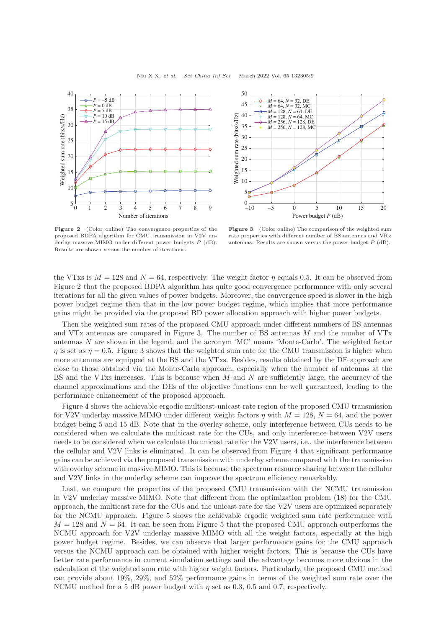<span id="page-8-0"></span>



Figure 2 (Color online) The convergence properties of the proposed BDPA algorithm for CMU transmission in V2V underlay massive MIMO under different power budgets P (dB). Results are shown versus the number of iterations.

Figure 3 (Color online) The comparison of the weighted sum rate properties with different number of BS antennas and VRx antennas. Results are shown versus the power budget P (dB).

the VTxs is  $M = 128$  and  $N = 64$ , respectively. The weight factor  $\eta$  equals 0.5. It can be observed from Figure [2](#page-8-0) that the proposed BDPA algorithm has quite good convergence performance with only several iterations for all the given values of power budgets. Moreover, the convergence speed is slower in the high power budget regime than that in the low power budget regime, which implies that more performance gains might be provided via the proposed BD power allocation approach with higher power budgets.

Then the weighted sum rates of the proposed CMU approach under different numbers of BS antennas and VTx antennas are compared in Figure [3.](#page-8-0) The number of BS antennas M and the number of VTx antennas N are shown in the legend, and the acronym 'MC' means 'Monte-Carlo'. The weighted factor  $\eta$  is set as  $\eta = 0.5$ . Figure [3](#page-8-0) shows that the weighted sum rate for the CMU transmission is higher when more antennas are equipped at the BS and the VTxs. Besides, results obtained by the DE approach are close to those obtained via the Monte-Carlo approach, especially when the number of antennas at the BS and the VTxs increases. This is because when  $M$  and  $N$  are sufficiently large, the accuracy of the channel approximations and the DEs of the objective functions can be well guaranteed, leading to the performance enhancement of the proposed approach.

Figure [4](#page-9-17) shows the achievable ergodic multicast-unicast rate region of the proposed CMU transmission for V2V underlay massive MIMO under different weight factors  $\eta$  with  $M = 128$ ,  $N = 64$ , and the power budget being 5 and 15 dB. Note that in the overlay scheme, only interference between CUs needs to be considered when we calculate the multicast rate for the CUs, and only interference between V2V users needs to be considered when we calculate the unicast rate for the V2V users, i.e., the interference between the cellular and V2V links is eliminated. It can be observed from Figure [4](#page-9-17) that significant performance gains can be achieved via the proposed transmission with underlay scheme compared with the transmission with overlay scheme in massive MIMO. This is because the spectrum resource sharing between the cellular and V2V links in the underlay scheme can improve the spectrum efficiency remarkably.

Last, we compare the properties of the proposed CMU transmission with the NCMU transmission in V2V underlay massive MIMO. Note that different from the optimization problem [\(18\)](#page-4-2) for the CMU approach, the multicast rate for the CUs and the unicast rate for the V2V users are optimized separately for the NCMU approach. Figure [5](#page-9-17) shows the achievable ergodic weighted sum rate performance with  $M = 128$  and  $N = 64$ . It can be seen from Figure [5](#page-9-17) that the proposed CMU approach outperforms the NCMU approach for V2V underlay massive MIMO with all the weight factors, especially at the high power budget regime. Besides, we can observe that larger performance gains for the CMU approach versus the NCMU approach can be obtained with higher weight factors. This is because the CUs have better rate performance in current simulation settings and the advantage becomes more obvious in the calculation of the weighted sum rate with higher weight factors. Particularly, the proposed CMU method can provide about 19%, 29%, and 52% performance gains in terms of the weighted sum rate over the NCMU method for a 5 dB power budget with  $\eta$  set as 0.3, 0.5 and 0.7, respectively.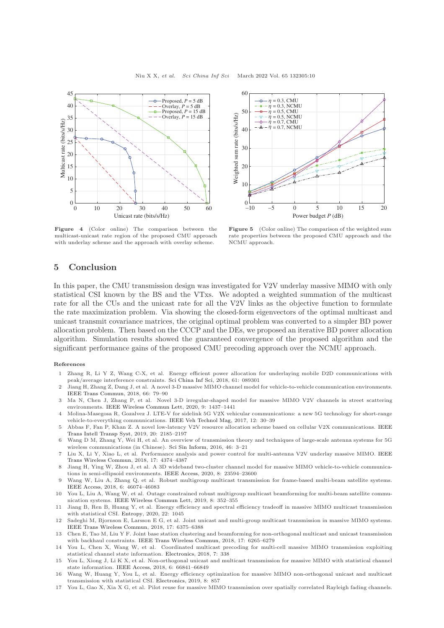<span id="page-9-17"></span>



Figure 4 (Color online) The comparison between the multicast-unicast rate region of the proposed CMU approach with underlay scheme and the approach with overlay scheme.

Figure 5 (Color online) The comparison of the weighted sum rate properties between the proposed CMU approach and the NCMU approach.

### <span id="page-9-16"></span>5 Conclusion

In this paper, the CMU transmission design was investigated for V2V underlay massive MIMO with only statistical CSI known by the BS and the VTxs. We adopted a weighted summation of the multicast rate for all the CUs and the unicast rate for all the V2V links as the objective function to formulate the rate maximization problem. Via showing the closed-form eigenvectors of the optimal multicast and unicast transmit covariance matrices, the original optimal problem was converted to a simpler BD power allocation problem. Then based on the CCCP and the DEs, we proposed an iterative BD power allocation algorithm. Simulation results showed the guaranteed convergence of the proposed algorithm and the significant performance gains of the proposed CMU precoding approach over the NCMU approach.

#### <span id="page-9-0"></span>References

- 1 Zhang R, Li Y Z, Wang C-X, et al. Energy efficient power allocation for underlaying mobile D2D communications with peak/average interference constraints. [Sci China Inf Sci,](https://doi.org/10.1007/s11432-017-9373-7) 2018, 61: 089301
- <span id="page-9-6"></span>2 Jiang H, Zhang Z, Dang J, et al. A novel 3-D massive MIMO channel model for vehicle-to-vehicle communication environments. [IEEE Trans Commun,](https://doi.org/10.1109/TCOMM.2017.2751555) 2018, 66: 79–90
- <span id="page-9-1"></span>3 Ma N, Chen J, Zhang P, et al. Novel 3-D irregular-shaped model for massive MIMO V2V channels in street scattering environments. [IEEE Wireless Commun Lett,](https://doi.org/10.1109/LWC.2020.2993237) 2020, 9: 1437–1441
- <span id="page-9-2"></span>4 Molina-Masegosa R, Gozalvez J. LTE-V for sidelink 5G V2X vehicular communications: a new 5G technology for short-range vehicle-to-everything communications. [IEEE Veh Technol Mag,](https://doi.org/10.1109/MVT.2017.2752798) 2017, 12: 30–39
- <span id="page-9-3"></span>5 Abbas F, Fan P, Khan Z. A novel low-latency V2V resource allocation scheme based on cellular V2X communications. IEEE Trans Intell Transp Syst, 2019, 20: 2185–2197
- <span id="page-9-4"></span>6 Wang D M, Zhang Y, Wei H, et al. An overview of transmission theory and techniques of large-scale antenna systems for 5G wireless communications (in Chinese). [Sci Sin Inform,](https://doi.org/10.1360/N112015-00296) 2016, 46: 3–21
- <span id="page-9-5"></span>7 Liu X, Li Y, Xiao L, et [al. Performance analysis and power control for multi-antenna V2V underlay massive MIMO.](https://doi.org/10.1109/TWC.2018.2824333) IEEE Trans Wireless Commun, 2018, 17: 4374–4387
- <span id="page-9-7"></span>8 Jiang H, Ying W, Zhou J, et al. A 3D wideband two-cluster channel model for massive MIMO vehicle-to-vehicle communications in semi-ellipsoid environments. [IEEE Access,](https://doi.org/10.1109/ACCESS.2020.2970190) 2020, 8: 23594–23600
- <span id="page-9-8"></span>9 Wang W, Liu A, Zhang Q, et al. Robust multigroup multicast transmission for frame-based multi-beam satellite systems. [IEEE Access,](https://doi.org/10.1109/ACCESS.2018.2865998) 2018, 6: 46074–46083
- 10 You L, Liu A, Wang W, et al. Outage constrained robust multigroup multicast beamforming for multi-beam satellite communication systems. [IEEE Wireless Commun Lett,](https://doi.org/10.1109/LWC.2018.2872710) 2019, 8: 352–355
- <span id="page-9-9"></span>11 Jiang B, Ren B, Huang Y, et al. Energy efficiency and spectral efficiency tradeoff in massive MIMO multicast transmission with statistical CSI. [Entropy,](https://doi.org/10.3390/e22091045) 2020, 22: 1045
- <span id="page-9-10"></span>12 Sadeghi M, Bjornson E, Larsson E G, et al. Joint unicast and multi-group multicast transmission in massive MIMO systems. [IEEE Trans Wireless Commun,](https://doi.org/10.1109/TWC.2018.2854554) 2018, 17: 6375–6388
- <span id="page-9-11"></span>13 Chen E, Tao M, Liu Y F. Joint base station clustering and beamforming for non-orthogonal multicast and unicast transmission with backhaul constraints. [IEEE Trans Wireless Commun,](https://doi.org/10.1109/TWC.2018.2858223) 2018, 17: 6265–6279
- <span id="page-9-12"></span>14 You L, Chen X, Wang W, et al. Coordinated multicast precoding for multi-cell massive MIMO transmission exploiting statistical channel state information. [Electronics,](https://doi.org/10.3390/electronics7110338) 2018, 7: 338
- <span id="page-9-13"></span>15 You L, Xiong J, Li K X, et al. Non-orthogonal unicast and multicast transmission for massive MIMO with statistical channel state information. [IEEE Access,](https://doi.org/10.1109/ACCESS.2018.2879366) 2018, 6: 66841–66849
- <span id="page-9-14"></span>16 Wang W, Huang Y, You L, et al. Energy efficiency optimization for massive MIMO non-orthogonal unicast and multicast transmission with statistical CSI. [Electronics,](https://doi.org/10.3390/electronics8080857) 2019, 8: 857
- <span id="page-9-15"></span>17 You L, Gao X, Xia X G, et al. Pilot reuse for massive MIMO transmission over spatially correlated Rayleigh fading channels.